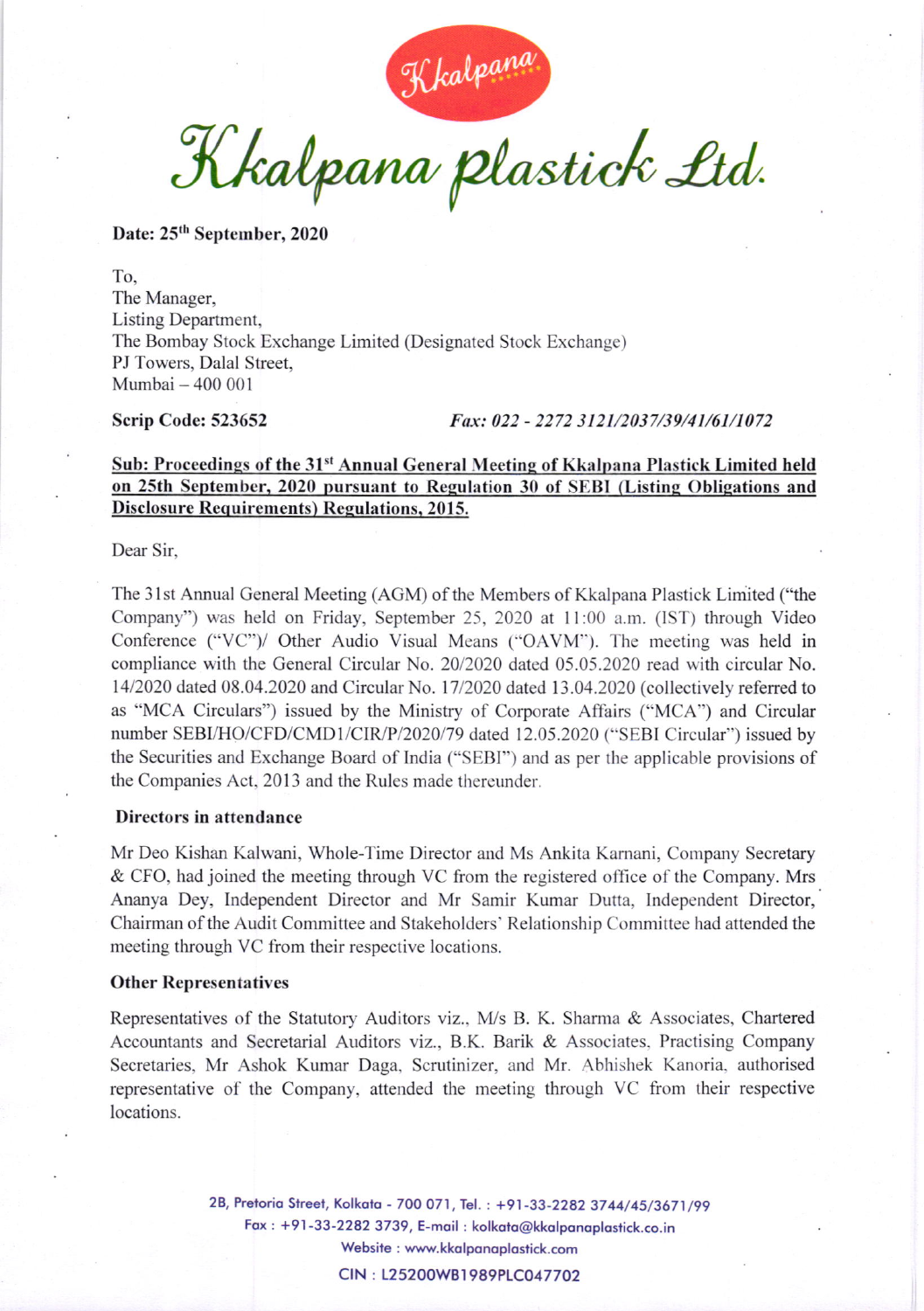Kkalpana plastick Ltd.

Date: 25<sup>th</sup> September, 2020

To, The Manager, Listing Department, The Bombay Stock Exchange Limited (Designated Stock Exchange) PJ Towers, Dalal Street, Mumbai - 400 <sup>001</sup>

Scrip Code: 523652 *Fax: 022 - 2272 3121/2037/39/41/61/1072* 

## Sub: Proceedings of the 31<sup>st</sup> Annual General Meeting of Kkalpana Plastick Limited held on 25th September, 2020 pursuant to Regulation 30 of SEBI (Listing Obligations and Disclosure Requirements) Regulations. 2015.

Dear Sir.

The 3lst Annual General Meeting (AGM) of the Members of Kkalpana Plastick Limited ("the Company") was held on Friday, September 25, 2020 at 11:00 a.m. (IST) through Video Conference ("VC")/ Other Audio Visual Means ("OAVM"). The meeting was held in compliance with the General Circular No. 20/2020 dated 05.05.2020 read with circular No. 14/2020 dated 08.04.2020 and Circular No. 1712020 dated 13.04.2020 (collectively referred to as "MCA Circulars") issued by the Ministry of Corporate Affairs ("MCA") and Circular number SEBI/HO/CFD/CMD1/CIR/P/2020/79 dated 12.05.2020 ("SEBI Circular") issued by the Securities and Exchange Board of India ("SEBI") and as per the applicahle provisions of the Companies Act, 2013 and the Rules made thereunder.

## Directors in attendance

Mr Deo Kishan Kalwani, Whole-Time Director and Ms Ankita Karnani, Company Secretary & CFO, had joined the meeting through VC from the registered office of the Company. Mrs Ananya Dey, Independent Director and Mr Samir Kumar Dutta, Independent Director, Chairman of the Audit Committee and Stakeholders' Relationship Committee had attended the meeting through VC from their respective locations.

## Other Representatives

Representatives of the Statutory Auditors viz.,  $M/s$  B. K. Sharma & Associates, Chartered Accountants and Secretarial Auditors viz., B.K. Barik & Associates. Practising Company Secretaries, Mr Ashok Kumar Daga. Scrutinizer, and Mr. Abhishek Kanoria. authorised representative of the Company, attended the meeting through VC from their respective locations.

> 2B, Pretoria Street, Kolkata - 700 071, Tel. : +91-33-2282 3744/45/3671/99 Fox : +91-33-2282 3739, E-moil : kolkoto@kkolponoplostick.co.in Website : www.kkolponoplostick.com CIN: L25200WB1989PLC047702